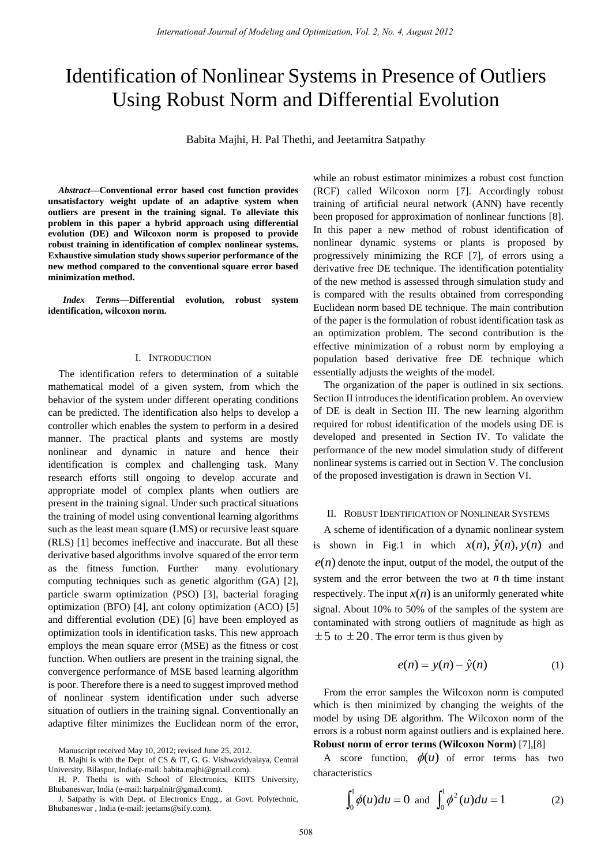# Identification of Nonlinear Systems in Presence of Outliers Using Robust Norm and Differential Evolution

Babita Majhi, H. Pal Thethi, and Jeetamitra Satpathy

*Abstract***—Conventional error based cost function provides unsatisfactory weight update of an adaptive system when outliers are present in the training signal. To alleviate this problem in this paper a hybrid approach using differential evolution (DE) and Wilcoxon norm is proposed to provide robust training in identification of complex nonlinear systems. Exhaustive simulation study shows superior performance of the new method compared to the conventional square error based minimization method.** 

*Index Terms—***Differential evolution, robust system identification, wilcoxon norm.** 

# I. INTRODUCTION

The identification refers to determination of a suitable mathematical model of a given system, from which the behavior of the system under different operating conditions can be predicted. The identification also helps to develop a controller which enables the system to perform in a desired manner. The practical plants and systems are mostly nonlinear and dynamic in nature and hence their identification is complex and challenging task. Many research efforts still ongoing to develop accurate and appropriate model of complex plants when outliers are present in the training signal. Under such practical situations the training of model using conventional learning algorithms such as the least mean square (LMS) or recursive least square (RLS) [1] becomes ineffective and inaccurate. But all these derivative based algorithms involve squared of the error term as the fitness function. Further many evolutionary computing techniques such as genetic algorithm (GA) [2], particle swarm optimization (PSO) [3], bacterial foraging optimization (BFO) [4], ant colony optimization (ACO) [5] and differential evolution (DE) [6] have been employed as optimization tools in identification tasks. This new approach employs the mean square error (MSE) as the fitness or cost function. When outliers are present in the training signal, the convergence performance of MSE based learning algorithm is poor. Therefore there is a need to suggest improved method of nonlinear system identification under such adverse situation of outliers in the training signal. Conventionally an adaptive filter minimizes the Euclidean norm of the error,

Manuscript received May 10, 2012; revised June 25, 2012.

while an robust estimator minimizes a robust cost function (RCF) called Wilcoxon norm [7]. Accordingly robust training of artificial neural network (ANN) have recently been proposed for approximation of nonlinear functions [8]. In this paper a new method of robust identification of nonlinear dynamic systems or plants is proposed by progressively minimizing the RCF [7], of errors using a derivative free DE technique. The identification potentiality of the new method is assessed through simulation study and is compared with the results obtained from corresponding Euclidean norm based DE technique. The main contribution of the paper is the formulation of robust identification task as an optimization problem. The second contribution is the effective minimization of a robust norm by employing a population based derivative free DE technique which essentially adjusts the weights of the model.

The organization of the paper is outlined in six sections. Section II introduces the identification problem. An overview of DE is dealt in Section III. The new learning algorithm required for robust identification of the models using DE is developed and presented in Section IV. To validate the performance of the new model simulation study of different nonlinear systems is carried out in Section V. The conclusion of the proposed investigation is drawn in Section VI.

# II. ROBUST IDENTIFICATION OF NONLINEAR SYSTEMS

A scheme of identification of a dynamic nonlinear system is shown in Fig.1 in which  $x(n)$ ,  $\hat{y}(n)$ ,  $y(n)$  and  $e(n)$  denote the input, output of the model, the output of the system and the error between the two at  $n$  th time instant respectively. The input  $x(n)$  is an uniformly generated white signal. About 10% to 50% of the samples of the system are contaminated with strong outliers of magnitude as high as  $\pm 5$  to  $\pm 20$ . The error term is thus given by

$$
e(n) = y(n) - \hat{y}(n)
$$
 (1)

From the error samples the Wilcoxon norm is computed which is then minimized by changing the weights of the model by using DE algorithm. The Wilcoxon norm of the errors is a robust norm against outliers and is explained here.

**Robust norm of error terms (Wilcoxon Norm)** [7],[8]

A score function,  $\phi(u)$  of error terms has two characteristics

$$
\int_0^1 \phi(u) du = 0 \text{ and } \int_0^1 \phi^2(u) du = 1
$$
 (2)

B. Majhi is with the Dept. of CS & IT, G. G. Vishwavidyalaya, Central University, Bilaspur, India(e-mail: babita.majhi@gmail.com).

H. P. Thethi is with School of Electronics, KIITS University, Bhubaneswar, India (e-mail: harpalnitr@gmail.com).

J. Satpathy is with Dept. of Electronics Engg., at Govt. Polytechnic, Bhubaneswar , India (e-mail: jeetams@sify.com).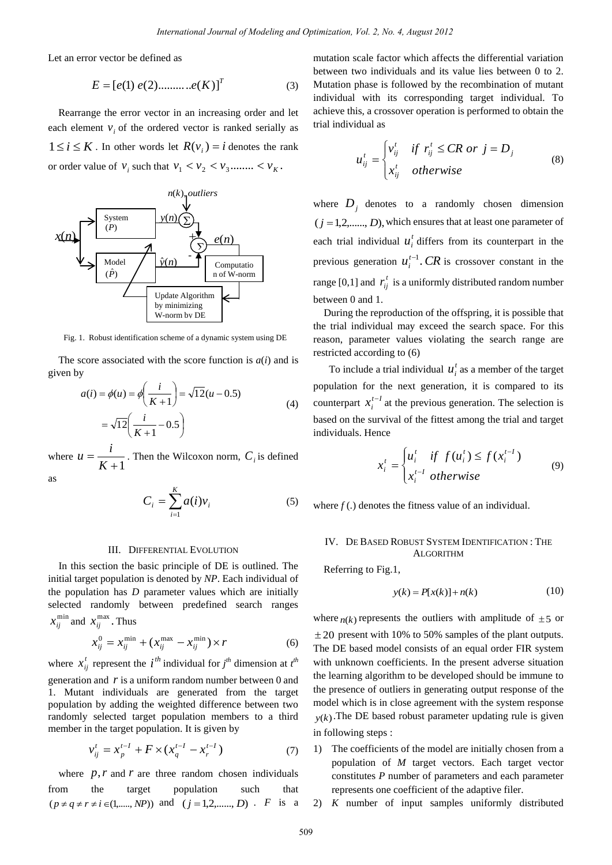Let an error vector be defined as

$$
E = [e(1) e(2) \dots e(K)]^T
$$
 (3)

Rearrange the error vector in an increasing order and let each element  $v_i$  of the ordered vector is ranked serially as  $1 \le i \le K$ . In other words let  $R(v_i) = i$  denotes the rank or order value of  $v_i$  such that  $v_1 < v_2 < v_3$ ........  $v_k$ .



Fig. 1. Robust identification scheme of a dynamic system using DE

The score associated with the score function is *a*(*i*) and is given by

$$
a(i) = \phi(u) = \phi\left(\frac{i}{K+1}\right) = \sqrt{12}(u - 0.5)
$$
  
=  $\sqrt{12}\left(\frac{i}{K+1} - 0.5\right)$  (4)

where  $u = \frac{V}{K+1}$  $=$ *K*  $u = \frac{i}{K+1}$ . Then the Wilcoxon norm,  $C_i$  is defined

as

$$
C_i = \sum_{i=1}^{K} a(i)v_i
$$
 (5)

#### III. DIFFERENTIAL EVOLUTION

In this section the basic principle of DE is outlined. The initial target population is denoted by *NP*. Each individual of the population has *D* parameter values which are initially selected randomly between predefined search ranges  $x_{ij}^{\min}$  and  $x_{ij}^{\max}$ . Thus

$$
x_{ij}^0 = x_{ij}^{\min} + (x_{ij}^{\max} - x_{ij}^{\min}) \times r
$$
 (6)

where  $x_{ij}^t$  represent the *i*<sup>th</sup> individual for  $j^{th}$  dimension at  $t^{th}$ generation and  $r$  is a uniform random number between  $0$  and 1. Mutant individuals are generated from the target population by adding the weighted difference between two randomly selected target population members to a third member in the target population. It is given by

$$
v_{ij}^t = x_p^{t-1} + F \times (x_q^{t-1} - x_r^{t-1})
$$
 (7)

where  $p, r$  and  $r$  are three random chosen individuals from the target population such that  $(p \neq q \neq r \neq i \in (1, \dots, NP))$  and  $(j = 1, 2, \dots, D)$ . *F* is a

mutation scale factor which affects the differential variation between two individuals and its value lies between 0 to 2. Mutation phase is followed by the recombination of mutant individual with its corresponding target individual. To achieve this, a crossover operation is performed to obtain the trial individual as

$$
u_{ij}^t = \begin{cases} v_{ij}^t & \text{if } r_{ij}^t \le CR \text{ or } j = D_j \\ x_{ij}^t & \text{otherwise} \end{cases}
$$
 (8)

where  $D_j$  denotes to a randomly chosen dimension  $(j = 1, 2, \ldots, D)$ , which ensures that at least one parameter of each trial individual  $u_i^t$  differs from its counterpart in the previous generation  $u_i^{t-1}$ . CR is crossover constant in the range [0,1] and  $r_{ij}^t$  is a uniformly distributed random number between 0 and 1.

During the reproduction of the offspring, it is possible that the trial individual may exceed the search space. For this reason, parameter values violating the search range are restricted according to (6)

To include a trial individual  $u_i^t$  as a member of the target population for the next generation, it is compared to its counterpart  $x_i^{t-l}$  $x_i^{t-1}$  at the previous generation. The selection is based on the survival of the fittest among the trial and target individuals. Hence

$$
x_i^t = \begin{cases} u_i^t & \text{if } f(u_i^t) \le f(x_i^{t-1}) \\ x_i^{t-1} & \text{otherwise} \end{cases}
$$
(9)

where  $f(.)$  denotes the fitness value of an individual.

### IV. DE BASED ROBUST SYSTEM IDENTIFICATION : THE ALGORITHM

Referring to Fig.1,

$$
y(k) = P[x(k)] + n(k)
$$
 (10)

where  $n(k)$  represents the outliers with amplitude of  $\pm$  5 or  $\pm 20$  present with 10% to 50% samples of the plant outputs. The DE based model consists of an equal order FIR system with unknown coefficients. In the present adverse situation the learning algorithm to be developed should be immune to the presence of outliers in generating output response of the model which is in close agreement with the system response  $y(k)$ . The DE based robust parameter updating rule is given in following steps :

- 1) The coefficients of the model are initially chosen from a population of *M* target vectors. Each target vector constitutes *P* number of parameters and each parameter represents one coefficient of the adaptive filer.
- 2) *K* number of input samples uniformly distributed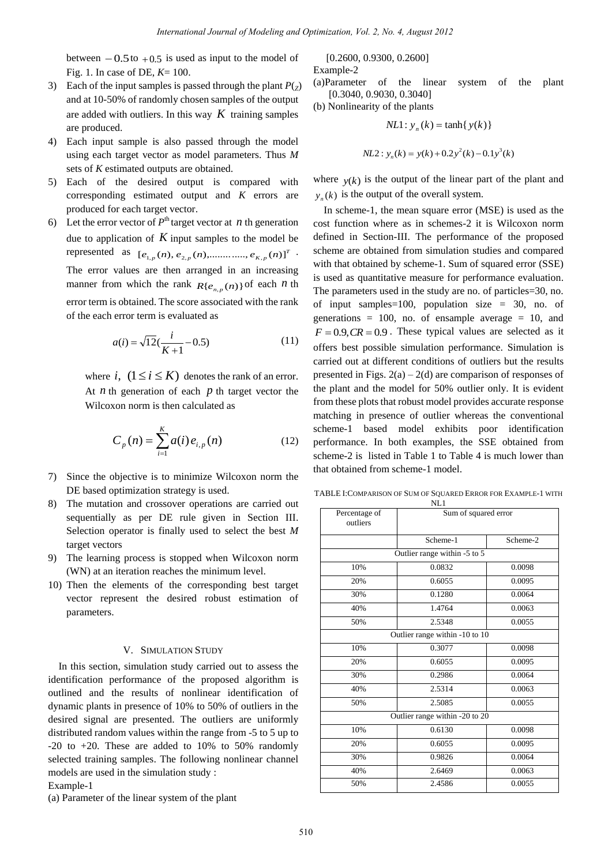between  $-0.5$  to  $+0.5$  is used as input to the model of Fig. 1. In case of DE, *K*= 100.

- 3) Each of the input samples is passed through the plant  $P(z)$ and at 10-50% of randomly chosen samples of the output are added with outliers. In this way  $K$  training samples are produced.
- 4) Each input sample is also passed through the model using each target vector as model parameters. Thus *M* sets of *K* estimated outputs are obtained.
- 5) Each of the desired output is compared with corresponding estimated output and *K* errors are produced for each target vector.
- 6) Let the error vector of  $P^{\text{th}}$  target vector at *n* th generation due to application of  $K$  input samples to the model be represented as  $[e_{1,p}(n), e_{2,p}(n), \dots, e_{K,p}(n)]^T$ . The error values are then arranged in an increasing manner from which the rank  $R\{e_{n,p}(n)\}$  of each *n* th error term is obtained. The score associated with the rank of the each error term is evaluated as

$$
a(i) = \sqrt{12}(\frac{i}{K+1} - 0.5)
$$
 (11)

where  $i$ ,  $(1 \le i \le K)$  denotes the rank of an error. At  $n$  th generation of each  $p$  th target vector the Wilcoxon norm is then calculated as

$$
C_p(n) = \sum_{i=1}^{K} a(i) e_{i,p}(n)
$$
 (12)

- 7) Since the objective is to minimize Wilcoxon norm the DE based optimization strategy is used.
- 8) The mutation and crossover operations are carried out sequentially as per DE rule given in Section III. Selection operator is finally used to select the best *M* target vectors
- 9) The learning process is stopped when Wilcoxon norm (WN) at an iteration reaches the minimum level.
- 10) Then the elements of the corresponding best target vector represent the desired robust estimation of parameters.

## V. SIMULATION STUDY

In this section, simulation study carried out to assess the identification performance of the proposed algorithm is outlined and the results of nonlinear identification of dynamic plants in presence of 10% to 50% of outliers in the desired signal are presented. The outliers are uniformly distributed random values within the range from -5 to 5 up to  $-20$  to  $+20$ . These are added to 10% to 50% randomly selected training samples. The following nonlinear channel models are used in the simulation study :

Example-1

(a) Parameter of the linear system of the plant

 [0.2600, 0.9300, 0.2600] Example-2

(a)Parameter of the linear system of the plant [0.3040, 0.9030, 0.3040]

(b) Nonlinearity of the plants

$$
NL1: y_n(k) = \tanh\{y(k)\}\
$$

$$
NL2: y_n(k) = y(k) + 0.2y^2(k) - 0.1y^3(k)
$$

where  $y(k)$  is the output of the linear part of the plant and  $y_n(k)$  is the output of the overall system.

In scheme-1, the mean square error (MSE) is used as the cost function where as in schemes-2 it is Wilcoxon norm defined in Section-III. The performance of the proposed scheme are obtained from simulation studies and compared with that obtained by scheme-1. Sum of squared error (SSE) is used as quantitative measure for performance evaluation. The parameters used in the study are no. of particles=30, no. of input samples=100, population size = 30, no. of generations  $= 100$ , no. of ensample average  $= 10$ , and  $F = 0.9$ ,  $CR = 0.9$ . These typical values are selected as it offers best possible simulation performance. Simulation is carried out at different conditions of outliers but the results presented in Figs.  $2(a) - 2(d)$  are comparison of responses of the plant and the model for 50% outlier only. It is evident from these plots that robust model provides accurate response matching in presence of outlier whereas the conventional scheme-1 based model exhibits poor identification performance. In both examples, the SSE obtained from scheme-2 is listed in Table 1 to Table 4 is much lower than that obtained from scheme-1 model.

TABLE I:COMPARISON OF SUM OF SQUARED ERROR FOR EXAMPLE-1 WITH NL1

| Percentage of<br>outliers | Sum of squared error           |          |
|---------------------------|--------------------------------|----------|
|                           | Scheme-1                       | Scheme-2 |
|                           | Outlier range within -5 to 5   |          |
| 10%                       | 0.0832                         | 0.0098   |
| 20%                       | 0.6055                         | 0.0095   |
| 30%                       | 0.1280                         | 0.0064   |
| 40%                       | 1.4764                         | 0.0063   |
| 50%                       | 2.5348                         | 0.0055   |
|                           | Outlier range within -10 to 10 |          |
| 10%                       | 0.3077                         | 0.0098   |
| 20%                       | 0.6055                         | 0.0095   |
| 30%                       | 0.2986                         | 0.0064   |
| 40%                       | 2.5314                         | 0.0063   |
| 50%                       | 2.5085                         | 0.0055   |
|                           | Outlier range within -20 to 20 |          |
| 10%                       | 0.6130                         | 0.0098   |
| 20%                       | 0.6055                         | 0.0095   |
| 30%                       | 0.9826                         | 0.0064   |
| 40%                       | 2.6469                         | 0.0063   |
| 50%                       | 2.4586                         | 0.0055   |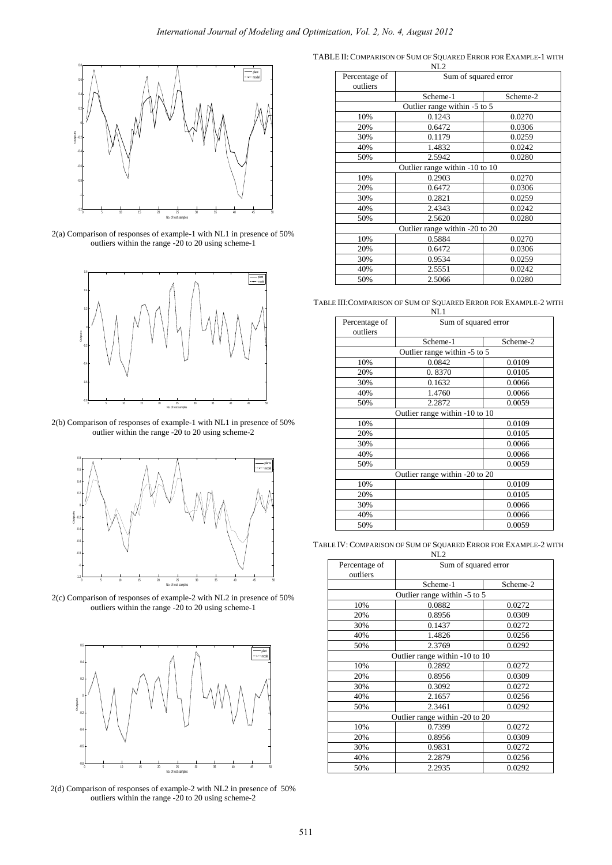

2(a) Comparison of responses of example-1 with NL1 in presence of 50% outliers within the range -20 to 20 using scheme-1



2(b) Comparison of responses of example-1 with NL1 in presence of 50% outlier within the range -20 to 20 using scheme-2



2(c) Comparison of responses of example-2 with NL2 in presence of 50% outliers within the range -20 to 20 using scheme-1



2(d) Comparison of responses of example-2 with NL2 in presence of 50% outliers within the range -20 to 20 using scheme-2

TABLE II: COMPARISON OF SUM OF SQUARED ERROR FOR EXAMPLE-1 WITH

|                           | NL <sub>2</sub>                |          |
|---------------------------|--------------------------------|----------|
| Percentage of<br>outliers | Sum of squared error           |          |
|                           | Scheme-1                       | Scheme-2 |
|                           | Outlier range within -5 to 5   |          |
| 10%                       | 0.1243                         | 0.0270   |
| 20%                       | 0.6472                         | 0.0306   |
| 30%                       | 0.1179                         | 0.0259   |
| 40%                       | 1.4832                         | 0.0242   |
| 50%                       | 2.5942                         | 0.0280   |
|                           | Outlier range within -10 to 10 |          |
| 10%                       | 0.2903                         | 0.0270   |
| 20%                       | 0.6472                         | 0.0306   |
| 30%                       | 0.2821                         | 0.0259   |
| 40%                       | 2.4343                         | 0.0242   |
| 50%                       | 2.5620                         | 0.0280   |
|                           | Outlier range within -20 to 20 |          |
| 10%                       | 0.5884                         | 0.0270   |
| 20%                       | 0.6472                         | 0.0306   |
| 30%                       | 0.9534                         | 0.0259   |
| 40%                       | 2.5551                         | 0.0242   |
| 50%                       | 2.5066                         | 0.0280   |

TABLE III:COMPARISON OF SUM OF SQUARED ERROR FOR EXAMPLE-2 WITH

|                           | NL1                            |          |
|---------------------------|--------------------------------|----------|
| Percentage of<br>outliers | Sum of squared error           |          |
|                           | Scheme-1                       | Scheme-2 |
|                           | Outlier range within -5 to 5   |          |
| 10%                       | 0.0842                         | 0.0109   |
| 20%                       | 0.8370                         | 0.0105   |
| 30%                       | 0.1632                         | 0.0066   |
| 40%                       | 1.4760                         | 0.0066   |
| 50%                       | 2.2872                         | 0.0059   |
|                           | Outlier range within -10 to 10 |          |
| 10%                       |                                | 0.0109   |
| 20%                       |                                | 0.0105   |
| 30%                       |                                | 0.0066   |
| 40%                       |                                | 0.0066   |
| 50%                       |                                | 0.0059   |
|                           | Outlier range within -20 to 20 |          |
| 10%                       |                                | 0.0109   |
| 20%                       |                                | 0.0105   |
| 30%                       |                                | 0.0066   |
| 40%                       |                                | 0.0066   |
| 50%                       |                                | 0.0059   |

TABLE IV: COMPARISON OF SUM OF SQUARED ERROR FOR EXAMPLE-2 WITH

|                           | NL <sub>2</sub>                |          |
|---------------------------|--------------------------------|----------|
| Percentage of<br>outliers | Sum of squared error           |          |
|                           | Scheme-1                       | Scheme-2 |
|                           | Outlier range within -5 to 5   |          |
| 10%                       | 0.0882                         | 0.0272   |
| 20%                       | 0.8956                         | 0.0309   |
| 30%                       | 0.1437                         | 0.0272   |
| 40%                       | 1.4826                         | 0.0256   |
| 50%                       | 2.3769                         | 0.0292   |
|                           | Outlier range within -10 to 10 |          |
| 10%                       | 0.2892                         | 0.0272   |
| 20%                       | 0.8956                         | 0.0309   |
| 30%                       | 0.3092                         | 0.0272   |
| 40%                       | 2.1657                         | 0.0256   |
| 50%                       | 2.3461                         | 0.0292   |
|                           | Outlier range within -20 to 20 |          |
| 10%                       | 0.7399                         | 0.0272   |
| 20%                       | 0.8956                         | 0.0309   |
| 30%                       | 0.9831                         | 0.0272   |
| 40%                       | 2.2879                         | 0.0256   |
| 50%                       | 2.2935                         | 0.0292   |